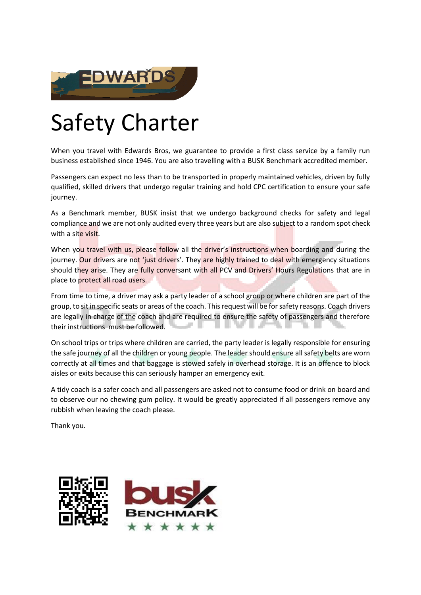

## Safety Charter

When you travel with Edwards Bros, we guarantee to provide a first class service by a family run business established since 1946. You are also travelling with a BUSK Benchmark accredited member.

Passengers can expect no less than to be transported in properly maintained vehicles, driven by fully qualified, skilled drivers that undergo regular training and hold CPC certification to ensure your safe journey.

As a Benchmark member, BUSK insist that we undergo background checks for safety and legal compliance and we are not only audited every three years but are also subject to a random spot check with a site visit.

When you travel with us, please follow all the driver's instructions when boarding and during the journey. Our drivers are not 'just drivers'. They are highly trained to deal with emergency situations should they arise. They are fully conversant with all PCV and Drivers' Hours Regulations that are in place to protect all road users.

From time to time, a driver may ask a party leader of a school group or where children are part of the group, to sit in specific seats or areas of the coach. This request will be for safety reasons. Coach drivers are legally in charge of the coach and are required to ensure the safety of passengers and therefore their instructions must be followed.

On school trips or trips where children are carried, the party leader is legally responsible for ensuring the safe journey of all the children or young people. The leader should ensure all safety belts are worn correctly at all times and that baggage is stowed safely in overhead storage. It is an offence to block aisles or exits because this can seriously hamper an emergency exit.

A tidy coach is a safer coach and all passengers are asked not to consume food or drink on board and to observe our no chewing gum policy. It would be greatly appreciated if all passengers remove any rubbish when leaving the coach please.

Thank you.